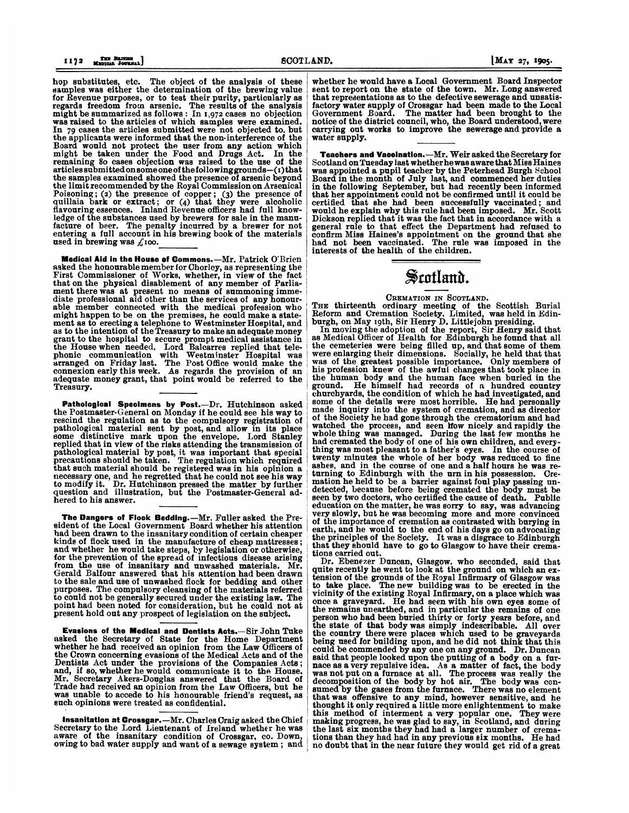hop substitutes, etc. The object of the analysis of these samples was either the determination of the brewing value for Revenue purposes, or to test their purity, particularly as regards freedom from arsenic. The results of the analysis might be summarized as follows: In 1,972 cases no objection was raised to the articles of which samples were examined. In 79 cases the articles submitted were not objected to. but the applicants were informed that the non-interference of the Board would not protect the user from any action which might be taken under the Food and Drugs Act. In the remaining 8o cases objection was raised to the use of the articles submittedonsomeone of the followinggrounds-(i) that the samples examined showed the presence of arsenic beyond the limit recommended by the Royal Commission on Arsenical Poisoning; (2) the presence of copper; (3) the presence of quillaia bark or extract; or (4) that they were alcoholic flavouring essences. Inland Revenue officers had full knowledge of the substances used by brewers for sale in the manu-facture of beer. The penalty incurred by a brewer for not entering a full account in his brewing book of the materials used in brewing was  $\zeta$ 100.

Medical Aid in the House of Commons.-Mr. Patrick O'Brien asked the honourable member for Chorley, as representing the First Commissioner of Works, whether, in view of the fact that on the physical disablement of any member of Parliament there was at present no means of summoning immediate professional aid other than the services of any honourable member connected with the medical profession who might happen to be on the premises, he could make a state-ment as to erecting a telephone to Westminster Hospital, and as to the intention of the Treasury to make an adequate money grant to the hospital to secure prompt medical assistance in the House when needed. Lord Balcarres replied that tele-phonic communication with Westminster Hospital was arranged on Friday last. The Post Office would make the connexion early this week. As regards the provision of an adequate money grant, that point would be referred to the Treasury.

Pathologioal Specimens by Post.-Dr. Hutchinson asked the Postmaster-General on Monday if he could see his way to rescind the regulation as to the compulsory registration of pathological material sent by post, and allow in its place some distinctive mark upon the envelope. Lord Stanley replied that in view of the risks attending the transmission of pathological material by post, it was important that special precautions should be taken. The regulation which required that such material should be registered was in his opinion a necessary one, and he regretted that he could not see his way to modify it. Dr. Hutchinson pressed the matter by further question and illustration, but the Postmaster-General adhered to his answer.

The Dangers of Flock Bedding.-Mr. Fuller asked the President of the Local Government Board whether his attention had been drawn to the insanitary condition of certain cheaper kinds of flock used in the manufacture of cheap mattresses; and whether he would take steps, by legislation or otherwise, for the prevention of the spread of infectious disease arising from the use of insanitary and unwashed materials. Mr. Gerald Balfour answered that his attention had been drawn to the sale and use of unwashed flock for bedding and other purposes. The compulsory cleansing of the materials referred to could not be generally secured under the existing law. The point had been noted for consideration, but he could not at present hold out any prospect of legislation on the subject.

Evasions of the Medical and Dentists Acts.-Sir John Tuke asked the Secretary of State for the Home Department whether he had received an opinion from the Law Officers of the Crown concerning evasions of the Medical Acts and of the Dentists Act under the provisions of the Companies Acts; and, if so, whether he would communicate it to the House. Mr. Secretary Akers-Douglas answered that the Board of Trade had received an opinion from the Law Officers, but he was unable to accede to his honourable friend's request, as such opinions were treated as confidential.

Insanitatlon at Crossgar.-Mr. Charles Craig asked the Chief Secretary to the Lord Lieutenant of Ireland whether he was aware of the insanitary condition of Crosagar, co. Down, owing to bad water supply and want of a sewage system; and

whether he would have.a Local Government Board Inspector sent to report on the state of the town. Mr. Long answered that representations as to the defective sewerage and unsatisfactory water supply of Crossgar had been made to the Local Government Board. The matter had been brought to the notice of the district council, who, the Board understood, were carrying out works to improve the sewerage an water supply.

Teachers and Vacolnation.-Mr. Weir asked the Secretary for Scotland on Tuesday last whetherhewas aware that Mies Haines was appointed a pupil teacher by the Peterhead Burgh School Board in the,month of July last, and commenced her duties in the following September, but had recently been informed that her appointment could not be confirmed until it could be certified that she had been successfully vaccinated; and would he explain why this rule had been imposed. Mr. Scott Dickson replied that it was the fact that in accordance with a general rule to that effect the Department had refused to confirm Miss Haines's appointment on the ground that she had not been vaccinated. The rule was imposed in the interests of the health of the children.

# $$$ cotland.

## CREMATION IN SCOTLAND.

THE thirteenth ordinary meeting of the Scottish Burial<br>Reform and Cremation Society, Limited, was held in Edin-<br>burgh, on May 19th, Sir Henry D. Littlejohn presiding,

In moving the adoption of the report, Sir Henry said that<br>as Medical Officer of Health for Edinburgh he found that all<br>the cemeteries were being filled up, and that some of them<br>were enlarging their dimensions. Socially, h his profession knew of the awful changes that took place in the human body and the human face when buried in the ground. He himself had records of a hundred country churchyards, the condition of which he had investigated, and some of the details were most horrible. He had personally made inquiry into the system of cremation, and as director of the Society he had gone through the crematorium and had watched the process, and seen Ifow nicely andrapidly the wbole thing was managed. During the last few months he had cremated the body of one of his own children, and everything was most pleasant to a father's eyes. In the course of twenty minutes the whole of her body was reduced to fine ashes, and in the course of one and a half hours he was returning to Edinburgh with the urn in his possession. Cre-mation he held to be a barrier against foul play passing undetected, because before being cremated the body must be seen by two doctors, who certified the cauee of death. Public education on the matter, he was eorry to say, was advancing very slowly, but he was becoming more and more convinced of the importance of cremation as contrasted with burying in earth, and he would to the end of his days go on advocating the principles of the Society. It was a disgrace to Edinburgh that they should have to go to Glasgow to have their crema-

tions carried out. Dr. Ebenezer Duncan, Glasgow. who seconded, said that quite recently he went to look at the ground on which an extension of the grounds of the Royal Infirmary of Glasgow was to take place. The new building was to be erected in the vicinity of the existing Royal Infirmary, on a place which was once a graveyard. He had seen with his own eyes some of the remains unearthed, and in particular the remains of one person who had been buried thirty or forty years before, and the state of that body was simply indescribable. All over the country there were places which used to be graveyards being used for building upon, and he did not think that this could be commended by any one on any ground. Dr. Duncan said that people looked upon the putting of a body on a furnace as a very repulsive idea. As a matter of fact, the body was not put on a furnace at all. The process was really the decomposition of the body by hot air. The body was con-<br>sumed by the gases from the furnace. There wa tions than they had had in any previous six months. He had no doubt that in the near future they would get rid of a great